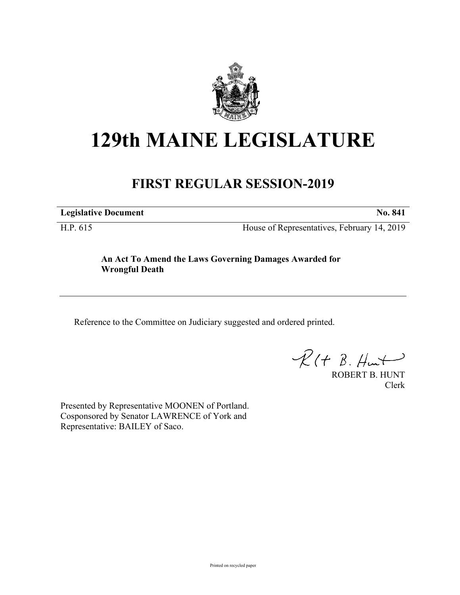

# **129th MAINE LEGISLATURE**

# **FIRST REGULAR SESSION-2019**

**Legislative Document No. 841**

H.P. 615 House of Representatives, February 14, 2019

## **An Act To Amend the Laws Governing Damages Awarded for Wrongful Death**

Reference to the Committee on Judiciary suggested and ordered printed.

 $R(t B. Hmt)$ 

ROBERT B. HUNT Clerk

Presented by Representative MOONEN of Portland. Cosponsored by Senator LAWRENCE of York and Representative: BAILEY of Saco.